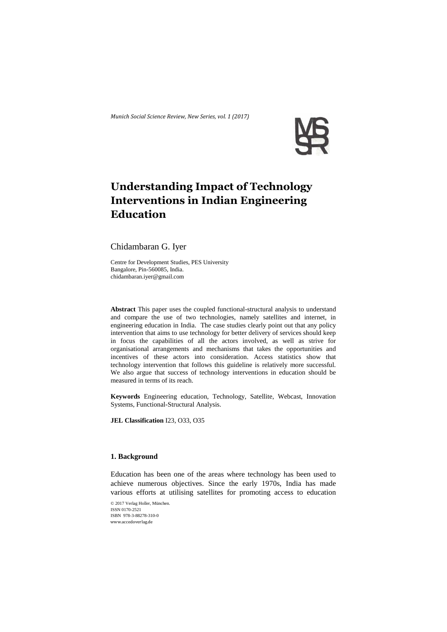*Munich Social Science Review, New Series, vol. 1 (2017)*



# **Understanding Impact of Technology Interventions in Indian Engineering Education**

Chidambaran G. Iyer

Centre for Development Studies, PES University Bangalore, Pin-560085, India. [chidambaran.iyer@gmail.com](mailto:chidambaran.iyer@gmail.com)

**Abstract** This paper uses the coupled functional-structural analysis to understand and compare the use of two technologies, namely satellites and internet, in engineering education in India. The case studies clearly point out that any policy intervention that aims to use technology for better delivery of services should keep in focus the capabilities of all the actors involved, as well as strive for organisational arrangements and mechanisms that takes the opportunities and incentives of these actors into consideration. Access statistics show that technology intervention that follows this guideline is relatively more successful. We also argue that success of technology interventions in education should be measured in terms of its reach.

**Keywords** Engineering education, Technology, Satellite, Webcast, Innovation Systems, Functional-Structural Analysis.

**JEL Classification** I23, O33, O35

# **1. Background**

Education has been one of the areas where technology has been used to achieve numerous objectives. Since the early 1970s, India has made various efforts at utilising satellites for promoting access to education

© 2017 Verlag Holler, München. ISSN 0170-2521 ISBN 978-3-88278-310-0 www.accedoverlag.de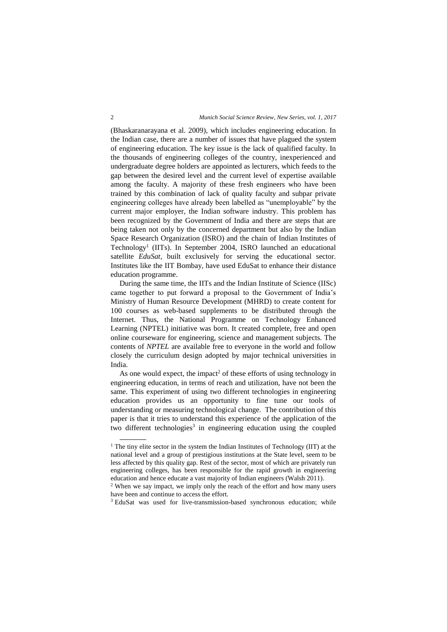(Bhaskaranarayana et al. 2009), which includes engineering education. In the Indian case, there are a number of issues that have plagued the system of engineering education. The key issue is the lack of qualified faculty. In the thousands of engineering colleges of the country, inexperienced and undergraduate degree holders are appointed as lecturers, which feeds to the gap between the desired level and the current level of expertise available among the faculty. A majority of these fresh engineers who have been trained by this combination of lack of quality faculty and subpar private engineering colleges have already been labelled as "unemployable" by the current major employer, the Indian software industry. This problem has been recognized by the Government of India and there are steps that are being taken not only by the concerned department but also by the Indian Space Research Organization (ISRO) and the chain of Indian Institutes of Technology<sup>1</sup> (IITs). In September 2004, ISRO launched an educational satellite *EduSat*, built exclusively for serving the educational sector. Institutes like the IIT Bombay, have used EduSat to enhance their distance education programme.

During the same time, the IITs and the Indian Institute of Science (IISc) came together to put forward a proposal to the Government of India's Ministry of Human Resource Development (MHRD) to create content for 100 courses as web-based supplements to be distributed through the Internet. Thus, the National Programme on Technology Enhanced Learning (NPTEL) initiative was born. It created complete, free and open online courseware for engineering, science and management subjects. The contents of *NPTEL* are available free to everyone in the world and follow closely the curriculum design adopted by major technical universities in India.

As one would expect, the impact<sup>2</sup> of these efforts of using technology in engineering education, in terms of reach and utilization, have not been the same. This experiment of using two different technologies in engineering education provides us an opportunity to fine tune our tools of understanding or measuring technological change. The contribution of this paper is that it tries to understand this experience of the application of the two different technologies<sup>3</sup> in engineering education using the coupled

<sup>&</sup>lt;sup>1</sup> The tiny elite sector in the system the Indian Institutes of Technology (IIT) at the national level and a group of prestigious institutions at the State level, seem to be less affected by this quality gap. Rest of the sector, most of which are privately run engineering colleges, has been responsible for the rapid growth in engineering education and hence educate a vast majority of Indian engineers (Walsh 2011).

<sup>&</sup>lt;sup>2</sup> When we say impact, we imply only the reach of the effort and how many users have been and continue to access the effort.

<sup>&</sup>lt;sup>3</sup> EduSat was used for live-transmission-based synchronous education; while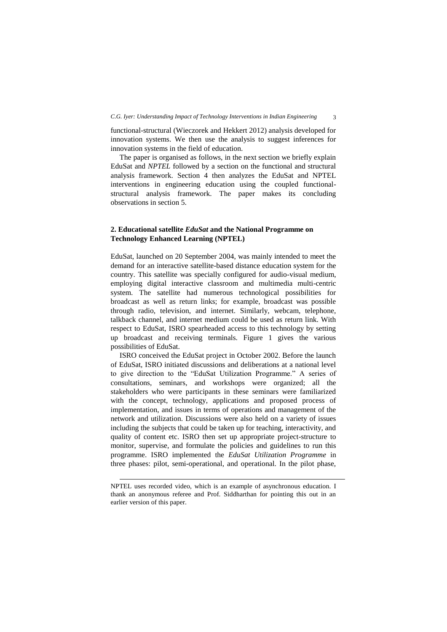functional-structural (Wieczorek and Hekkert 2012) analysis developed for innovation systems. We then use the analysis to suggest inferences for innovation systems in the field of education.

The paper is organised as follows, in the next section we briefly explain EduSat and *NPTEL* followed by a section on the functional and structural analysis framework. Section 4 then analyzes the EduSat and NPTEL interventions in engineering education using the coupled functionalstructural analysis framework. The paper makes its concluding observations in section 5.

# **2. Educational satellite** *EduSat* **and the National Programme on Technology Enhanced Learning (NPTEL)**

EduSat, launched on 20 September 2004, was mainly intended to meet the demand for an interactive satellite-based distance education system for the country. This satellite was specially configured for audio-visual medium, employing digital interactive classroom and multimedia multi-centric system. The satellite had numerous technological possibilities for broadcast as well as return links; for example, broadcast was possible through radio, television, and internet. Similarly, webcam, telephone, talkback channel, and internet medium could be used as return link. With respect to EduSat, ISRO spearheaded access to this technology by setting up broadcast and receiving terminals. Figure 1 gives the various possibilities of EduSat.

ISRO conceived the EduSat project in October 2002. Before the launch of EduSat, ISRO initiated discussions and deliberations at a national level to give direction to the "EduSat Utilization Programme." A series of consultations, seminars, and workshops were organized; all the stakeholders who were participants in these seminars were familiarized with the concept, technology, applications and proposed process of implementation, and issues in terms of operations and management of the network and utilization. Discussions were also held on a variety of issues including the subjects that could be taken up for teaching, interactivity, and quality of content etc. ISRO then set up appropriate project-structure to monitor, supervise, and formulate the policies and guidelines to run this programme. ISRO implemented the *EduSat Utilization Programme* in three phases: pilot, semi-operational, and operational. In the pilot phase,

-

NPTEL uses recorded video, which is an example of asynchronous education. I thank an anonymous referee and Prof. Siddharthan for pointing this out in an earlier version of this paper.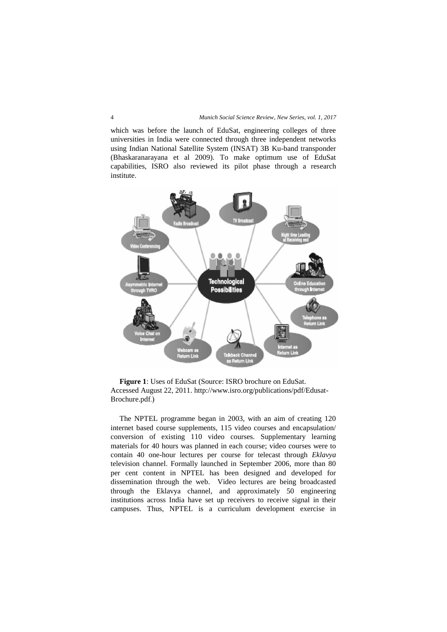which was before the launch of EduSat, engineering colleges of three universities in India were connected through three independent networks using Indian National Satellite System (INSAT) 3B Ku-band transponder (Bhaskaranarayana et al 2009). To make optimum use of EduSat capabilities, ISRO also reviewed its pilot phase through a research institute.



**Figure 1**: Uses of EduSat (Source: ISRO brochure on EduSat. Accessed August 22, 2011[. http://www.isro.org/publications/pdf/Edusat-](http://www.isro.org/publications/pdf/Edusat-Brochure.pdf)[Brochure.pdf](http://www.isro.org/publications/pdf/Edusat-Brochure.pdf).)

The NPTEL programme began in 2003, with an aim of creating 120 internet based course supplements, 115 video courses and encapsulation/ conversion of existing 110 video courses. Supplementary learning materials for 40 hours was planned in each course; video courses were to contain 40 one-hour lectures per course for telecast through *Eklavya*  television channel. Formally launched in September 2006, more than 80 per cent content in NPTEL has been designed and developed for dissemination through the web. Video lectures are being broadcasted through the Eklavya channel, and approximately 50 engineering institutions across India have set up receivers to receive signal in their campuses. Thus, NPTEL is a curriculum development exercise in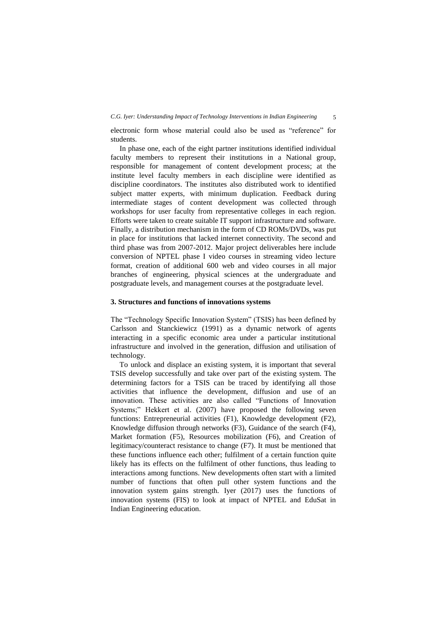electronic form whose material could also be used as "reference" for students.

In phase one, each of the eight partner institutions identified individual faculty members to represent their institutions in a National group, responsible for management of content development process; at the institute level faculty members in each discipline were identified as discipline coordinators. The institutes also distributed work to identified subject matter experts, with minimum duplication. Feedback during intermediate stages of content development was collected through workshops for user faculty from representative colleges in each region. Efforts were taken to create suitable IT support infrastructure and software. Finally, a distribution mechanism in the form of CD ROMs/DVDs, was put in place for institutions that lacked internet connectivity. The second and third phase was from 2007-2012. Major project deliverables here include conversion of NPTEL phase I video courses in streaming video lecture format, creation of additional 600 web and video courses in all major branches of engineering, physical sciences at the undergraduate and postgraduate levels, and management courses at the postgraduate level.

## **3. Structures and functions of innovations systems**

The "Technology Specific Innovation System" (TSIS) has been defined by Carlsson and Stanckiewicz (1991) as a dynamic network of agents interacting in a specific economic area under a particular institutional infrastructure and involved in the generation, diffusion and utilisation of technology.

To unlock and displace an existing system, it is important that several TSIS develop successfully and take over part of the existing system. The determining factors for a TSIS can be traced by identifying all those activities that influence the development, diffusion and use of an innovation. These activities are also called "Functions of Innovation Systems;" Hekkert et al. (2007) have proposed the following seven functions: Entrepreneurial activities (F1), Knowledge development (F2), Knowledge diffusion through networks (F3), Guidance of the search (F4), Market formation (F5), Resources mobilization (F6), and Creation of legitimacy/counteract resistance to change (F7). It must be mentioned that these functions influence each other; fulfilment of a certain function quite likely has its effects on the fulfilment of other functions, thus leading to interactions among functions. New developments often start with a limited number of functions that often pull other system functions and the innovation system gains strength. Iyer (2017) uses the functions of innovation systems (FIS) to look at impact of NPTEL and EduSat in Indian Engineering education.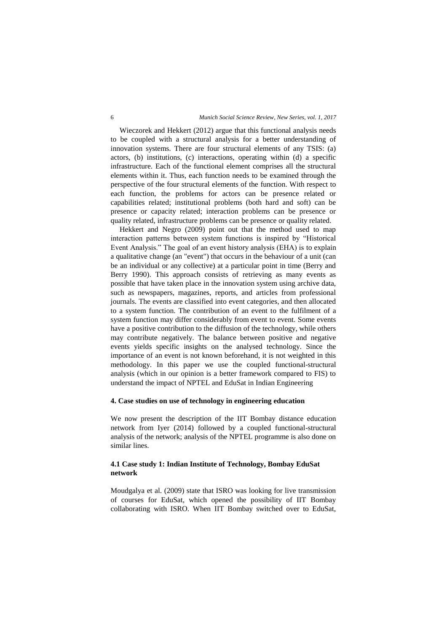Wieczorek and Hekkert (2012) argue that this functional analysis needs to be coupled with a structural analysis for a better understanding of innovation systems. There are four structural elements of any TSIS: (a) actors, (b) institutions, (c) interactions, operating within (d) a specific infrastructure. Each of the functional element comprises all the structural elements within it. Thus, each function needs to be examined through the perspective of the four structural elements of the function. With respect to each function, the problems for actors can be presence related or capabilities related; institutional problems (both hard and soft) can be presence or capacity related; interaction problems can be presence or quality related, infrastructure problems can be presence or quality related.

Hekkert and Negro (2009) point out that the method used to map interaction patterns between system functions is inspired by "Historical Event Analysis." The goal of an event history analysis (EHA) is to explain a qualitative change (an "event") that occurs in the behaviour of a unit (can be an individual or any collective) at a particular point in time (Berry and Berry 1990). This approach consists of retrieving as many events as possible that have taken place in the innovation system using archive data, such as newspapers, magazines, reports, and articles from professional journals. The events are classified into event categories, and then allocated to a system function. The contribution of an event to the fulfilment of a system function may differ considerably from event to event. Some events have a positive contribution to the diffusion of the technology, while others may contribute negatively. The balance between positive and negative events yields specific insights on the analysed technology. Since the importance of an event is not known beforehand, it is not weighted in this methodology. In this paper we use the coupled functional-structural analysis (which in our opinion is a better framework compared to FIS) to understand the impact of NPTEL and EduSat in Indian Engineering

#### **4. Case studies on use of technology in engineering education**

We now present the description of the IIT Bombay distance education network from Iyer (2014) followed by a coupled functional-structural analysis of the network; analysis of the NPTEL programme is also done on similar lines.

# **4.1 Case study 1: Indian Institute of Technology, Bombay EduSat network**

Moudgalya et al. (2009) state that ISRO was looking for live transmission of courses for EduSat, which opened the possibility of IIT Bombay collaborating with ISRO. When IIT Bombay switched over to EduSat,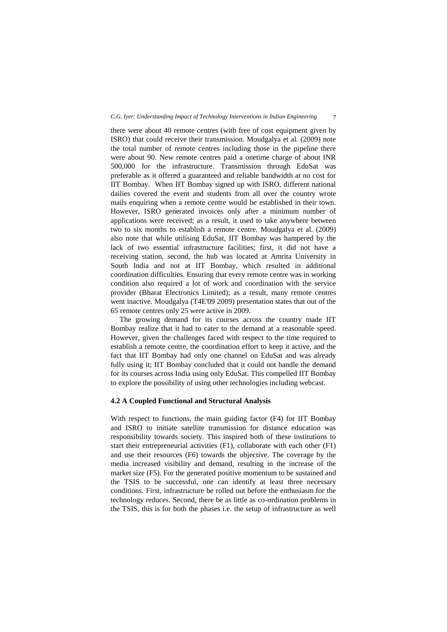there were about 40 remote centres (with free of cost equipment given by ISRO) that could receive their transmission. Moudgalya et al. (2009) note the total number of remote centres including those in the pipeline there were about 90. New remote centres paid a onetime charge of about INR 500,000 for the infrastructure. Transmission through EduSat was preferable as it offered a guaranteed and reliable bandwidth at no cost for IIT Bombay. When IIT Bombay signed up with ISRO, different national dailies covered the event and students from all over the country wrote mails enquiring when a remote centre would be established in their town. However, ISRO generated invoices only after a minimum number of applications were received; as a result, it used to take anywhere between two to six months to establish a remote centre. Moudgalya et al. (2009) also note that while utilising EduSat, IIT Bombay was hampered by the lack of two essential infrastructure facilities; first, it did not have a receiving station, second, the hub was located at Amrita University in South India and not at IIT Bombay, which resulted in additional coordination difficulties. Ensuring that every remote centre was in working condition also required a lot of work and coordination with the service provider (Bharat Electronics Limited); as a result, many remote centres went inactive. Moudgalya (T4E'09 2009) presentation states that out of the 65 remote centres only 25 were active in 2009.

The growing demand for its courses across the country made IIT Bombay realize that it had to cater to the demand at a reasonable speed. However, given the challenges faced with respect to the time required to establish a remote centre, the coordination effort to keep it active, and the fact that IIT Bombay had only one channel on EduSat and was already fully using it; IIT Bombay concluded that it could not handle the demand for its courses across India using only EduSat. This compelled IIT Bombay to explore the possibility of using other technologies including webcast.

## **4.2 A Coupled Functional and Structural Analysis**

With respect to functions, the main guiding factor (F4) for IIT Bombay and ISRO to initiate satellite transmission for distance education was responsibility towards society. This inspired both of these institutions to start their entrepreneurial activities (F1), collaborate with each other (F1) and use their resources (F6) towards the objective. The coverage by the media increased visibility and demand, resulting in the increase of the market size (F5). For the generated positive momentum to be sustained and the TSIS to be successful, one can identify at least three necessary conditions. First, infrastructure be rolled out before the enthusiasm for the technology reduces. Second, there be as little as co-ordination problems in the TSIS, this is for both the phases i.e. the setup of infrastructure as well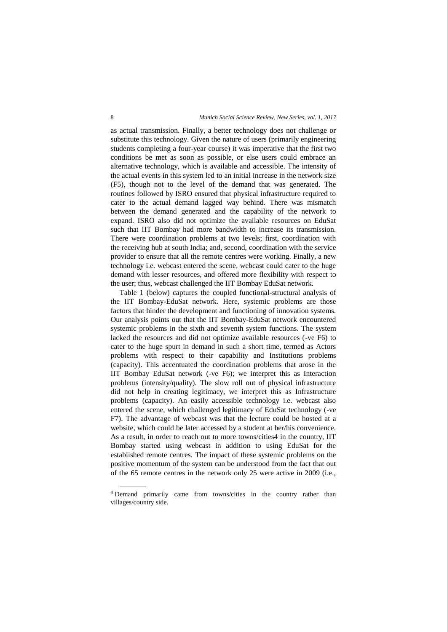as actual transmission. Finally, a better technology does not challenge or substitute this technology. Given the nature of users (primarily engineering students completing a four-year course) it was imperative that the first two conditions be met as soon as possible, or else users could embrace an alternative technology, which is available and accessible. The intensity of the actual events in this system led to an initial increase in the network size (F5), though not to the level of the demand that was generated. The routines followed by ISRO ensured that physical infrastructure required to cater to the actual demand lagged way behind. There was mismatch between the demand generated and the capability of the network to expand. ISRO also did not optimize the available resources on EduSat such that IIT Bombay had more bandwidth to increase its transmission. There were coordination problems at two levels; first, coordination with the receiving hub at south India; and, second, coordination with the service provider to ensure that all the remote centres were working. Finally, a new technology i.e. webcast entered the scene, webcast could cater to the huge demand with lesser resources, and offered more flexibility with respect to the user; thus, webcast challenged the IIT Bombay EduSat network.

Table 1 (below) captures the coupled functional-structural analysis of the IIT Bombay-EduSat network. Here, systemic problems are those factors that hinder the development and functioning of innovation systems. Our analysis points out that the IIT Bombay-EduSat network encountered systemic problems in the sixth and seventh system functions. The system lacked the resources and did not optimize available resources (-ve F6) to cater to the huge spurt in demand in such a short time, termed as Actors problems with respect to their capability and Institutions problems (capacity). This accentuated the coordination problems that arose in the IIT Bombay EduSat network (-ve F6); we interpret this as Interaction problems (intensity/quality). The slow roll out of physical infrastructure did not help in creating legitimacy, we interpret this as Infrastructure problems (capacity). An easily accessible technology i.e. webcast also entered the scene, which challenged legitimacy of EduSat technology (-ve F7). The advantage of webcast was that the lecture could be hosted at a website, which could be later accessed by a student at her/his convenience. As a result, in order to reach out to more towns/cities4 in the country, IIT Bombay started using webcast in addition to using EduSat for the established remote centres. The impact of these systemic problems on the positive momentum of the system can be understood from the fact that out of the 65 remote centres in the network only 25 were active in 2009 (i.e.,

<sup>4</sup> Demand primarily came from towns/cities in the country rather than villages/country side.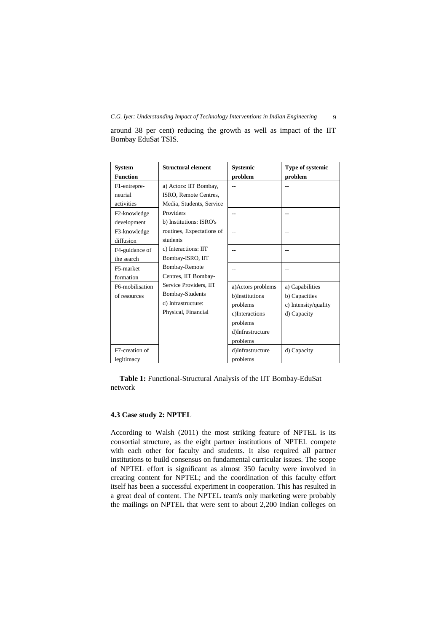| <b>System</b><br><b>Function</b>                                                                                          | <b>Structural element</b>                                                                                      | <b>Systemic</b><br>problem                                              | Type of systemic<br>problem |
|---------------------------------------------------------------------------------------------------------------------------|----------------------------------------------------------------------------------------------------------------|-------------------------------------------------------------------------|-----------------------------|
| F1-entrepre-<br>neurial                                                                                                   | a) Actors: IIT Bombay,<br>ISRO, Remote Centres,                                                                |                                                                         |                             |
| activities<br>F2-knowledge<br>development                                                                                 | Media, Students, Service<br>Providers<br>b) Institutions: ISRO's                                               |                                                                         |                             |
| F3-knowledge<br>diffusion                                                                                                 | routines, Expectations of<br>students                                                                          | --                                                                      |                             |
| F4-guidance of<br>the search                                                                                              | c) Interactions: IIT<br>Bombay-ISRO, IIT                                                                       |                                                                         |                             |
| F5-market<br>formation                                                                                                    | Bombay-Remote<br>Centres, IIT Bombay-                                                                          |                                                                         |                             |
| Service Providers, IIT<br>F6-mobilisation<br>Bombay-Students<br>of resources<br>d) Infrastructure:<br>Physical, Financial | a) Actors problems<br>b)Institutions<br>problems<br>c)Interactions<br>problems<br>d)Infrastructure<br>problems | a) Capabilities<br>b) Capacities<br>c) Intensity/quality<br>d) Capacity |                             |
| F7-creation of<br>legitimacy                                                                                              |                                                                                                                | d)Infrastructure<br>problems                                            | d) Capacity                 |

around 38 per cent) reducing the growth as well as impact of the IIT Bombay EduSat TSIS.

**Table 1:** Functional-Structural Analysis of the IIT Bombay-EduSat network

# **4.3 Case study 2: NPTEL**

According to Walsh (2011) the most striking feature of NPTEL is its consortial structure, as the eight partner institutions of NPTEL compete with each other for faculty and students. It also required all partner institutions to build consensus on fundamental curricular issues. The scope of NPTEL effort is significant as almost 350 faculty were involved in creating content for NPTEL; and the coordination of this faculty effort itself has been a successful experiment in cooperation. This has resulted in a great deal of content. The NPTEL team's only marketing were probably the mailings on NPTEL that were sent to about 2,200 Indian colleges on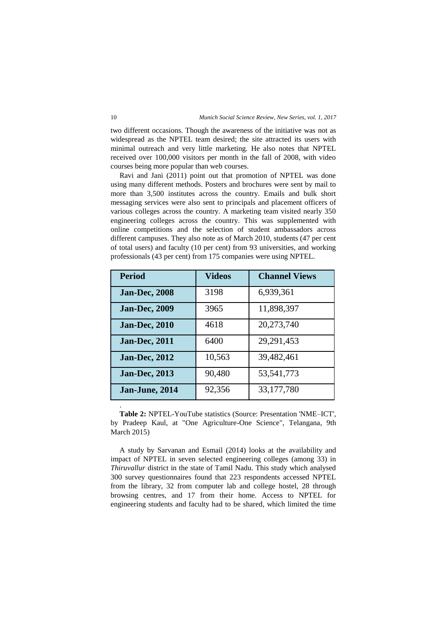two different occasions. Though the awareness of the initiative was not as widespread as the NPTEL team desired; the site attracted its users with minimal outreach and very little marketing. He also notes that NPTEL received over 100,000 visitors per month in the fall of 2008, with video courses being more popular than web courses.

Ravi and Jani (2011) point out that promotion of NPTEL was done using many different methods. Posters and brochures were sent by mail to more than 3,500 institutes across the country. Emails and bulk short messaging services were also sent to principals and placement officers of various colleges across the country. A marketing team visited nearly 350 engineering colleges across the country. This was supplemented with online competitions and the selection of student ambassadors across different campuses. They also note as of March 2010, students (47 per cent of total users) and faculty (10 per cent) from 93 universities, and working professionals (43 per cent) from 175 companies were using NPTEL.

| <b>Period</b>        | <b>Videos</b> | <b>Channel Views</b> |
|----------------------|---------------|----------------------|
| <b>Jan-Dec, 2008</b> | 3198          | 6,939,361            |
| <b>Jan-Dec, 2009</b> | 3965          | 11,898,397           |
| <b>Jan-Dec, 2010</b> | 4618          | 20,273,740           |
| <b>Jan-Dec, 2011</b> | 6400          | 29,291,453           |
| <b>Jan-Dec, 2012</b> | 10,563        | 39,482,461           |
| <b>Jan-Dec, 2013</b> | 90,480        | 53,541,773           |
| Jan-June, 2014       | 92,356        | 33,177,780           |
|                      |               |                      |

**Table 2:** NPTEL-YouTube statistics (Source: Presentation 'NME–ICT', by Pradeep Kaul, at "One Agriculture-One Science", Telangana, 9th March 2015)

A study by Sarvanan and Esmail (2014) looks at the availability and impact of NPTEL in seven selected engineering colleges (among 33) in *Thiruvallur* district in the state of Tamil Nadu. This study which analysed 300 survey questionnaires found that 223 respondents accessed NPTEL from the library, 32 from computer lab and college hostel, 28 through browsing centres, and 17 from their home. Access to NPTEL for engineering students and faculty had to be shared, which limited the time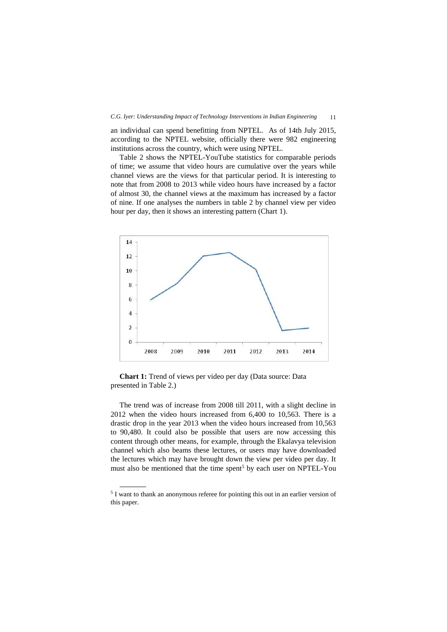an individual can spend benefitting from NPTEL. As of 14th July 2015, according to the NPTEL website, officially there were 982 engineering institutions across the country, which were using NPTEL.

Table 2 shows the NPTEL-YouTube statistics for comparable periods of time; we assume that video hours are cumulative over the years while channel views are the views for that particular period. It is interesting to note that from 2008 to 2013 while video hours have increased by a factor of almost 30, the channel views at the maximum has increased by a factor of nine. If one analyses the numbers in table 2 by channel view per video hour per day, then it shows an interesting pattern (Chart 1).



**Chart 1:** Trend of views per video per day (Data source: Data presented in Table 2.)

The trend was of increase from 2008 till 2011, with a slight decline in 2012 when the video hours increased from 6,400 to 10,563. There is a drastic drop in the year 2013 when the video hours increased from 10,563 to 90,480. It could also be possible that users are now accessing this content through other means, for example, through the Ekalavya television channel which also beams these lectures, or users may have downloaded the lectures which may have brought down the view per video per day. It must also be mentioned that the time spent<sup>5</sup> by each user on NPTEL-You

<sup>&</sup>lt;sup>5</sup> I want to thank an anonymous referee for pointing this out in an earlier version of this paper.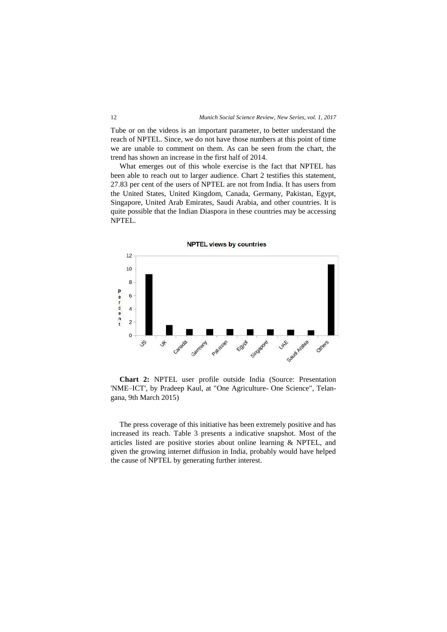Tube or on the videos is an important parameter, to better understand the reach of NPTEL. Since, we do not have those numbers at this point of time we are unable to comment on them. As can be seen from the chart, the trend has shown an increase in the first half of 2014.

What emerges out of this whole exercise is the fact that NPTEL has been able to reach out to larger audience. Chart 2 testifies this statement, 27.83 per cent of the users of NPTEL are not from India. It has users from the United States, United Kingdom, Canada, Germany, Pakistan, Egypt, Singapore, United Arab Emirates, Saudi Arabia, and other countries. It is quite possible that the Indian Diaspora in these countries may be accessing NPTEL.



**Chart 2:** NPTEL user profile outside India (Source: Presentation 'NME–ICT', by Pradeep Kaul, at "One Agriculture- One Science", Telangana, 9th March 2015)

The press coverage of this initiative has been extremely positive and has increased its reach. Table 3 presents a indicative snapshot. Most of the articles listed are positive stories about online learning & NPTEL, and given the growing internet diffusion in India, probably would have helped the cause of NPTEL by generating further interest.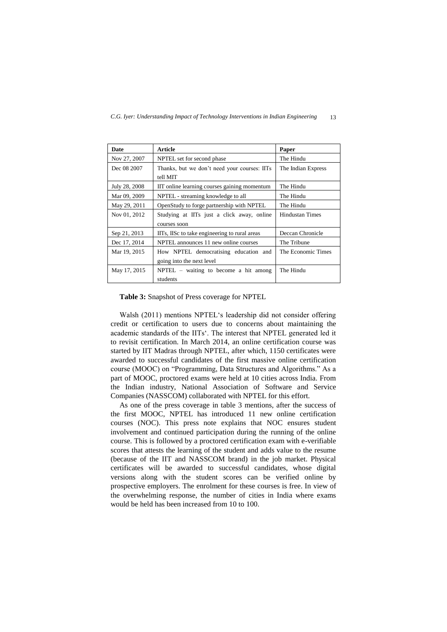| Date          | Article                                       | Paper                  |  |
|---------------|-----------------------------------------------|------------------------|--|
| Nov 27, 2007  | NPTEL set for second phase                    | The Hindu              |  |
| Dec 08 2007   | Thanks, but we don't need your courses: IITs  | The Indian Express     |  |
|               | tell MIT                                      |                        |  |
| July 28, 2008 | IIT online learning courses gaining momentum  | The Hindu              |  |
| Mar 09, 2009  | NPTEL - streaming knowledge to all            | The Hindu              |  |
| May 29, 2011  | OpenStudy to forge partnership with NPTEL     | The Hindu              |  |
| Nov 01, 2012  | Studying at IITs just a click away, online    | <b>Hindustan Times</b> |  |
|               | courses soon                                  |                        |  |
| Sep 21, 2013  | IITs, IISc to take engineering to rural areas | Deccan Chronicle       |  |
| Dec 17, 2014  | NPTEL announces 11 new online courses         | The Tribune            |  |
| Mar 19, 2015  | How NPTEL democratising education and         | The Economic Times     |  |
|               | going into the next level                     |                        |  |
| May 17, 2015  | $NPTEL$ – waiting to become a hit among       | The Hindu              |  |
|               | students                                      |                        |  |

**Table 3:** Snapshot of Press coverage for NPTEL

Walsh (2011) mentions NPTEL's leadership did not consider offering credit or certification to users due to concerns about maintaining the academic standards of the IITs'. The interest that NPTEL generated led it to revisit certification. In March 2014, an online certification course was started by IIT Madras through NPTEL, after which, 1150 certificates were awarded to successful candidates of the first massive online certification course (MOOC) on "Programming, Data Structures and Algorithms." As a part of MOOC, proctored exams were held at 10 cities across India. From the Indian industry, National Association of Software and Service Companies (NASSCOM) collaborated with NPTEL for this effort.

As one of the press coverage in table 3 mentions, after the success of the first MOOC, NPTEL has introduced 11 new online certification courses (NOC). This press note explains that NOC ensures student involvement and continued participation during the running of the online course. This is followed by a proctored certification exam with e-verifiable scores that attests the learning of the student and adds value to the resume (because of the IIT and NASSCOM brand) in the job market. Physical certificates will be awarded to successful candidates, whose digital versions along with the student scores can be verified online by prospective employers. The enrolment for these courses is free. In view of the overwhelming response, the number of cities in India where exams would be held has been increased from 10 to 100.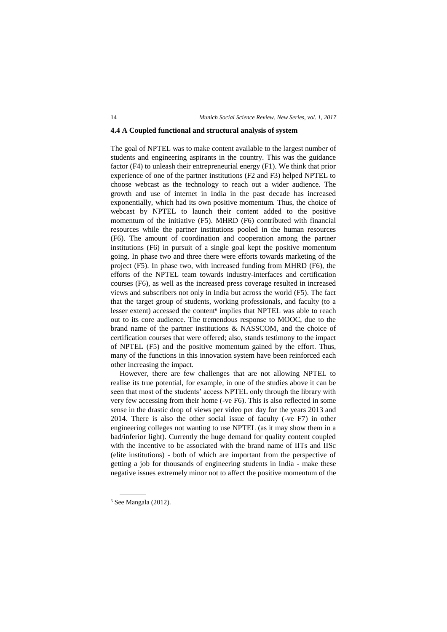#### **4.4 A Coupled functional and structural analysis of system**

The goal of NPTEL was to make content available to the largest number of students and engineering aspirants in the country. This was the guidance factor (F4) to unleash their entrepreneurial energy (F1). We think that prior experience of one of the partner institutions (F2 and F3) helped NPTEL to choose webcast as the technology to reach out a wider audience. The growth and use of internet in India in the past decade has increased exponentially, which had its own positive momentum. Thus, the choice of webcast by NPTEL to launch their content added to the positive momentum of the initiative (F5). MHRD (F6) contributed with financial resources while the partner institutions pooled in the human resources (F6). The amount of coordination and cooperation among the partner institutions (F6) in pursuit of a single goal kept the positive momentum going. In phase two and three there were efforts towards marketing of the project (F5). In phase two, with increased funding from MHRD (F6), the efforts of the NPTEL team towards industry-interfaces and certification courses (F6), as well as the increased press coverage resulted in increased views and subscribers not only in India but across the world (F5). The fact that the target group of students, working professionals, and faculty (to a lesser extent) accessed the content<sup>6</sup> implies that NPTEL was able to reach out to its core audience. The tremendous response to MOOC, due to the brand name of the partner institutions & NASSCOM, and the choice of certification courses that were offered; also, stands testimony to the impact of NPTEL (F5) and the positive momentum gained by the effort. Thus, many of the functions in this innovation system have been reinforced each other increasing the impact.

However, there are few challenges that are not allowing NPTEL to realise its true potential, for example, in one of the studies above it can be seen that most of the students' access NPTEL only through the library with very few accessing from their home (-ve F6). This is also reflected in some sense in the drastic drop of views per video per day for the years 2013 and 2014. There is also the other social issue of faculty (-ve F7) in other engineering colleges not wanting to use NPTEL (as it may show them in a bad/inferior light). Currently the huge demand for quality content coupled with the incentive to be associated with the brand name of IITs and IISc (elite institutions) - both of which are important from the perspective of getting a job for thousands of engineering students in India - make these negative issues extremely minor not to affect the positive momentum of the

<sup>6</sup> See Mangala (2012).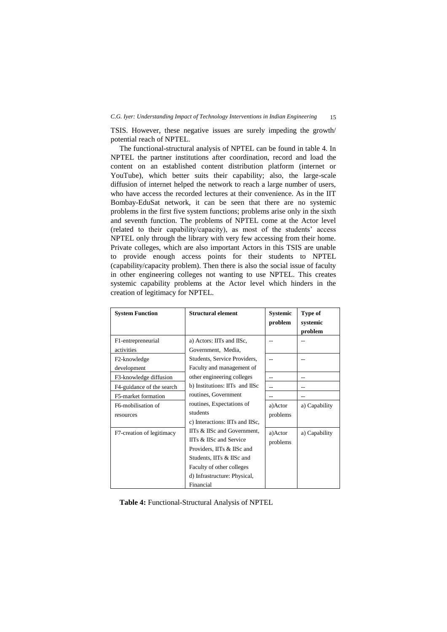#### *C.G. Iyer: Understanding Impact of Technology Interventions in Indian Engineering* 15

TSIS. However, these negative issues are surely impeding the growth/ potential reach of NPTEL.

The functional-structural analysis of NPTEL can be found in table 4. In NPTEL the partner institutions after coordination, record and load the content on an established content distribution platform (internet or YouTube), which better suits their capability; also, the large-scale diffusion of internet helped the network to reach a large number of users, who have access the recorded lectures at their convenience. As in the IIT Bombay-EduSat network, it can be seen that there are no systemic problems in the first five system functions; problems arise only in the sixth and seventh function. The problems of NPTEL come at the Actor level (related to their capability/capacity), as most of the students' access NPTEL only through the library with very few accessing from their home. Private colleges, which are also important Actors in this TSIS are unable to provide enough access points for their students to NPTEL (capability/capacity problem). Then there is also the social issue of faculty in other engineering colleges not wanting to use NPTEL. This creates systemic capability problems at the Actor level which hinders in the creation of legitimacy for NPTEL.

| <b>System Function</b>           | <b>Structural element</b>                                                                                                                                                                   | <b>Systemic</b><br>problem | Type of<br>systemic<br>problem |
|----------------------------------|---------------------------------------------------------------------------------------------------------------------------------------------------------------------------------------------|----------------------------|--------------------------------|
| F1-entrepreneurial<br>activities | a) Actors: IITs and IISc,<br>Government, Media,                                                                                                                                             |                            |                                |
| F2-knowledge<br>development      | Students, Service Providers,<br>Faculty and management of                                                                                                                                   |                            |                                |
| F3-knowledge diffusion           | other engineering colleges                                                                                                                                                                  |                            |                                |
| F4-guidance of the search        | b) Institutions: IITs and IISc                                                                                                                                                              |                            |                                |
| F5-market formation              | routines, Government                                                                                                                                                                        |                            |                                |
| F6-mobilisation of<br>resources  | routines, Expectations of<br>students<br>c) Interactions: IITs and IISc,                                                                                                                    | a)Actor<br>problems        | a) Capability                  |
| F7-creation of legitimacy        | IITs & IISc and Government,<br>IITs & IISc and Service<br>Providers, IITs & IISc and<br>Students, IITs & IISc and<br>Faculty of other colleges<br>d) Infrastructure: Physical,<br>Financial | a)Actor<br>problems        | a) Capability                  |

**Table 4:** Functional-Structural Analysis of NPTEL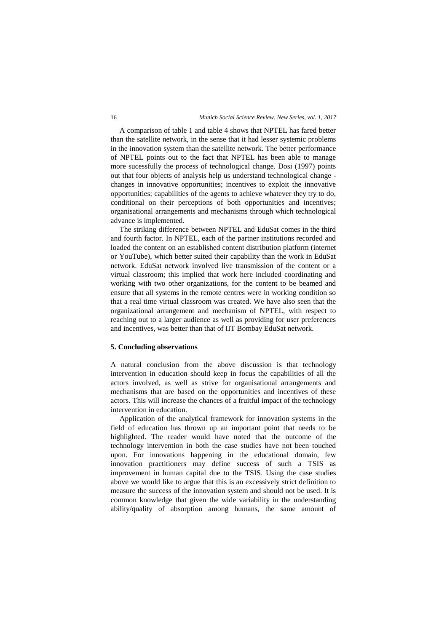#### 16 *Munich Social Science Review, New Series, vol. 1, 2017*

A comparison of table 1 and table 4 shows that NPTEL has fared better than the satellite network, in the sense that it had lesser systemic problems in the innovation system than the satellite network. The better performance of NPTEL points out to the fact that NPTEL has been able to manage more sucessfully the process of technological change. Dosi (1997) points out that four objects of analysis help us understand technological change changes in innovative opportunities; incentives to exploit the innovative opportunities; capabilities of the agents to achieve whatever they try to do, conditional on their perceptions of both opportunities and incentives; organisational arrangements and mechanisms through which technological advance is implemented.

The striking difference between NPTEL and EduSat comes in the third and fourth factor. In NPTEL, each of the partner institutions recorded and loaded the content on an established content distribution platform (internet or YouTube), which better suited their capability than the work in EduSat network. EduSat network involved live transmission of the content or a virtual classroom; this implied that work here included coordinating and working with two other organizations, for the content to be beamed and ensure that all systems in the remote centres were in working condition so that a real time virtual classroom was created. We have also seen that the organizational arrangement and mechanism of NPTEL, with respect to reaching out to a larger audience as well as providing for user preferences and incentives, was better than that of IIT Bombay EduSat network.

#### **5. Concluding observations**

A natural conclusion from the above discussion is that technology intervention in education should keep in focus the capabilities of all the actors involved, as well as strive for organisational arrangements and mechanisms that are based on the opportunities and incentives of these actors. This will increase the chances of a fruitful impact of the technology intervention in education.

Application of the analytical framework for innovation systems in the field of education has thrown up an important point that needs to be highlighted. The reader would have noted that the outcome of the technology intervention in both the case studies have not been touched upon. For innovations happening in the educational domain, few innovation practitioners may define success of such a TSIS as improvement in human capital due to the TSIS. Using the case studies above we would like to argue that this is an excessively strict definition to measure the success of the innovation system and should not be used. It is common knowledge that given the wide variability in the understanding ability/quality of absorption among humans, the same amount of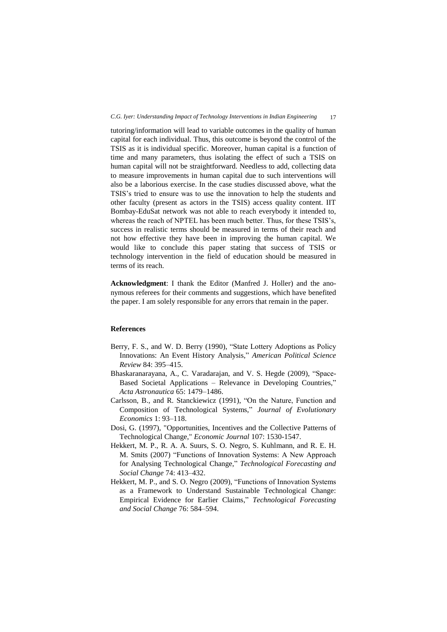tutoring/information will lead to variable outcomes in the quality of human capital for each individual. Thus, this outcome is beyond the control of the TSIS as it is individual specific. Moreover, human capital is a function of time and many parameters, thus isolating the effect of such a TSIS on human capital will not be straightforward. Needless to add, collecting data to measure improvements in human capital due to such interventions will also be a laborious exercise. In the case studies discussed above, what the TSIS's tried to ensure was to use the innovation to help the students and other faculty (present as actors in the TSIS) access quality content. IIT Bombay-EduSat network was not able to reach everybody it intended to, whereas the reach of NPTEL has been much better. Thus, for these TSIS's, success in realistic terms should be measured in terms of their reach and not how effective they have been in improving the human capital. We would like to conclude this paper stating that success of TSIS or technology intervention in the field of education should be measured in terms of its reach.

**Acknowledgment**: I thank the Editor (Manfred J. Holler) and the anonymous referees for their comments and suggestions, which have benefited the paper. I am solely responsible for any errors that remain in the paper.

#### **References**

- Berry, F. S., and W. D. Berry (1990), "State Lottery Adoptions as Policy Innovations: An Event History Analysis," *American Political Science Review* 84: 395–415.
- Bhaskaranarayana, A., C. Varadarajan, and V. S. Hegde (2009), "Space-Based Societal Applications – Relevance in Developing Countries," *Acta Astronautica* 65: 1479–1486.
- Carlsson, B., and R. Stanckiewicz (1991), "On the Nature, Function and Composition of Technological Systems," *Journal of Evolutionary Economics* 1: 93–118.
- Dosi, G. (1997), "Opportunities, Incentives and the Collective Patterns of Technological Change," *Economic Journal* 107: 1530-1547.
- Hekkert, M. P., R. A. A. Suurs, S. O. Negro, S. Kuhlmann, and R. E. H. M. Smits (2007) "Functions of Innovation Systems: A New Approach for Analysing Technological Change," *Technological Forecasting and Social Change* 74: 413–432.
- Hekkert, M. P., and S. O. Negro (2009), "Functions of Innovation Systems as a Framework to Understand Sustainable Technological Change: Empirical Evidence for Earlier Claims," *Technological Forecasting and Social Change* 76: 584–594.